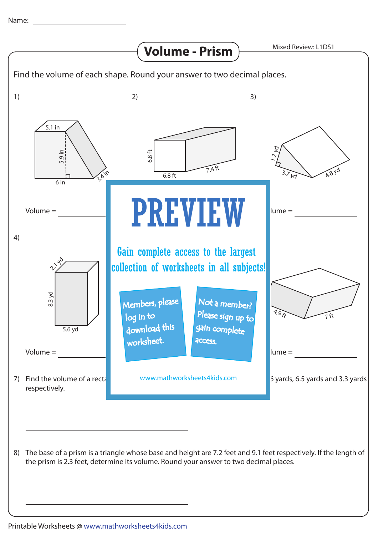